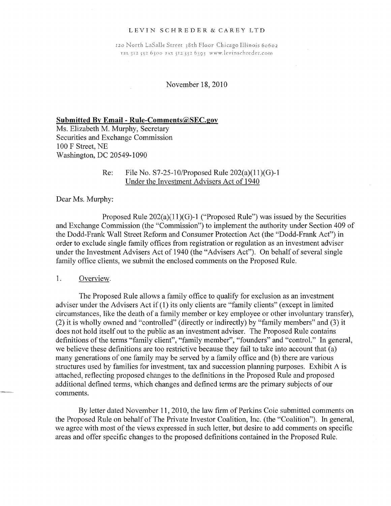#### LEVIN SCHREDER & CAREY LTD

120 North LaSalle Street 38th Floor Chicago Illinois 60602 TEL 312 332 6300 FAX 312 332 6393 www.levinschreder.com

November 18, 2010

#### **Submitted By Email - Rule-Comments@SEC.gov**

Ms. Elizabeth M. Murphy, Secretary Securities and Exchange Commission 100 F Street, NE Washington, DC 20549-1090

## Re: File No. 57-25-10/Proposed Rule 202(a)(11)(G)-1 Under the Investment Advisers Act of 1940

Dear Ms. Murphy:

Proposed Rule  $202(a)(11)(G)-1$  ("Proposed Rule") was issued by the Securities and Exchange Commission (the "Commission") to implement the authority under Section 409 of the Dodd-Frank Wall Street Reform and Consumer Protection Act (the "Dodd-Frank Act") in order to exclude single family offices from registration or regulation as an investment adviser under the Investment Advisers Act of 1940 (the "Advisers Act"). On behalf of several single family office clients, we submit the enclosed comments on the Proposed Rule.

1. Overview.

The Proposed Rule allows a family office to qualify for exclusion as an investment adviser under the Advisers Act if (1) its only clients are "family clients" (except in limited circumstances, like the death of a family member or key employee or other involuntary transfer), (2) it is wholly owned and "controlled" (directly or indirectly) by "family members" and (3) it does not hold itself out to the public as an investment adviser. The Proposed Rule contains definitions of the terms "family client", "family member", "founders" and "control." In general, we believe these definitions are too restrictive because they fail to take into account that (a) many generations of one family may be served by a family office and (b) there are various structures used by families for investment, tax and succession planning purposes. Exhibit A is attached, relfecting proposed changes to the definitions in the Proposed Rule and proposed additional defined terms, which changes and defined terms are the primary subjects of our comments.

By letter dated November 11, 2010, the law firm of Perkins Coie submitted comments on the Proposed Rule on behalf of The Private Investor Coalition, Inc. (the "Coalition"). In general, we agree with most of the views expressed in such letter, but desire to add comments on specific areas and offer specific changes to the proposed definitions contained in the Proposed Rule.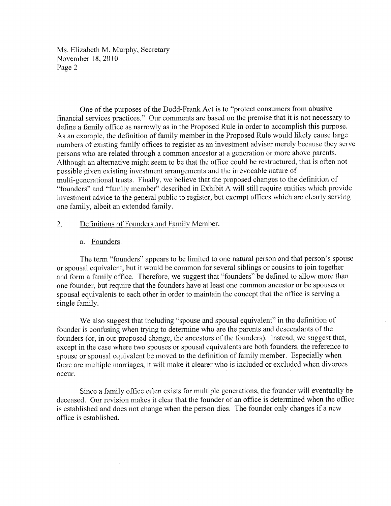One of the purposes of the Dodd-Frank Act is to "protect consumers from abusive financial services practices." Our comments are based on the premise that it is not necessary to define a family office as narrowly as in the Proposed Rule in order to accomplish this purpose. As an example, the definition of family member in the Proposed Rule would likely cause large numbers of existing family offices to register as an investment adviser merely because they serve persons who are related through a common ancestor at a generation or more above parents. Although an alternative might seem to be that the office could be restructured, that is otfen not possible given existing investment arrangements and the irrevocable nature of multi-generational trusts. Finally, we believe that the proposed changes to the definition of "founders" and "family member" described in Exhibit A will still require entities which provide investment advice to the eneral public to register, but exempt offices which are clearly serving one family, albeit an extended family.

## 2. Definitions of Founders and Family Member.

a. Founders.

The term "founders" appears to be limited to one natural person and that person's spouse or spousal equivalent, but it would be common for several siblings or cousins to join together and form a family ofifce. 'Therefore, we suggest that "founders" be defined to allow more than one founder, but require that the founders have at least one common ancestor or be spouses or spousal equivalents to each other in order to maintain the concept that the office is serving a single family.

We also suggest that including "spouse and spousal equivalent" in the definition of founder is confusing when trying to determine who are the parents and descendants of the founders (or, in our proposed change, the ancestors of the founders). Instead, we suggest that, except in the ease where two spouses or spousal equivalents are both founders, the reference to spouse or spousal equivalent be moved to the definition of family member. Especially when there are multiple marriages, it will make it clearer who is included or excluded when divorces occur.

Since a family office often exists for multiple generations, the founder will eventually be deceased. Our revision makes it clear that the founder of an office is determined when the ofifce is established and does not change when the person dies. The founder only changes if a new ofifce is established.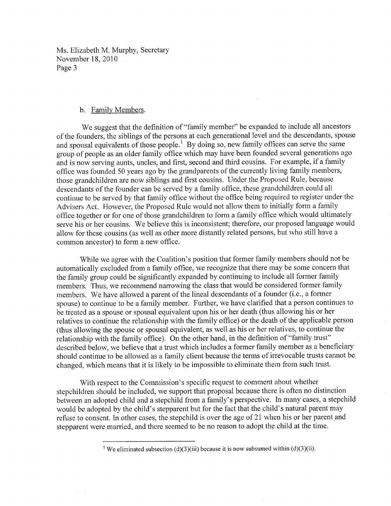#### b. Family Members.

We suggest that the definition of "family member" be expanded to include all ancestors of the founders, the siblings of the persons at each generational level and the descendants, spouse and spousal equivalents of those people.<sup>1</sup> By doing so, new family offices can serve the same group of people as an older family office which may have been founded several generations ago and is now serving aunts, uncles, and first, second and third cousins. For example, if a family ofifce was founded 50 years ago by the grandparents of the currently living family members, those grandchildren are now siblings and first cousins. Under the Proposed Rule, because descendants of the founder can be served by a family office, these grandchildren could all continue to be served by that family office without the ofifce being required to register under the Advisers Act. However, the Proposed Rule would not allow them to initially form a family office together or for one of those grandchildren to form a family office which would ultimately serve his or her cousins. We believe this is inconsistent; therefore, our proposed language would allow for these cousins (as well as other more distantly related persons, but who still have a common ancestor) to form a new office.

While we agree with the Coalition's position that former family members should not be automatically excluded from a family ofifce, we recognize that there may be some concern that the family group could be significantly expanded by continuing to include all former family members. Thus, we recommend narrowing the class that would be considered former family members. We have allowed a parent of the lineal descendants of a founder (i.e., a former spouse) to continue to be a family member. Further, we have clarified that a person continues to be treated as a spouse or spousal equivalent upon his or her death (thus allowing his or her relatives to continue the relationship with the family office) or the death of the applicable person (thus allowing the spouse or spousal equivalent, as well as his or her relatives, to continue the relationship with the family office). On the other hand, in the definition of "family trust" described below, we believe that a trust which includes a former family member as a beneficiary should continue to be allowed as a family client because the terms of irrevocable trusts cannot be changed, which means that it is likely to be impossible to eliminate them from such trust.

With respect to the Commission's specific request to comment about whether stepchildren should be included, we support that proposal because there is often no distinction between an adopted child and a stepchild from a family's perspective. In many cases, a stepchild would be adopted by the child's stepparent but for the fact that the child's natural parent may refuse to consent. In other cases, the stepchild is over the age of 21 when his or her parent and stepparent were married, and there seemed to be no reason to adopt the child at the time.

<sup>&</sup>lt;sup>1</sup> We eliminated subsection (d)(3)(iii) because it is now subsumed within (d)(3)(ii).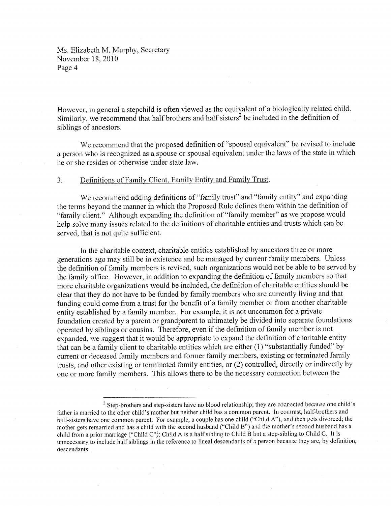However, in general a stepchild is often viewed as the equivalent of a biologically related child. Similarly, we recommend that half brothers and half sisters<sup>2</sup> be included in the definition of siblings of ancestors.

We recommend that the proposed definition of "spousal equivalent" be revised to include a person who is recognized as a spouse or spousal equivalent under the laws of the state in which he or she resides or otherwise under state law.

#### 3. Definitions of Family Client, Family Entity and Family Trust.

We recommend adding definitions of "family trust" and "family entity" and expanding the terms beyond the manner in which the Proposed Rule defines them within the definition of "family client." Although expanding the definition of "family member" as we propose would help solve many issues related to the definitions of charitable entities and trusts which can be served, that is not quite sufficient.

In the charitable context, charitable entities established by ancestors three or more generations ago may still be in existence and be managed by current family members. Unless the definition of family rnembers is revised, such organizations would not be able to be served by the family office. However, in addition to expanding the definition of family members so that more charitable organizations would be included, the definition of charitable entities should be clear that they do not have to be funded by family members who are currently living and that funding could come from a trust for the benefit of a family member or from another charitable entity established by a family member. For example, it is not uncommon for a private foundation created by a parent or grandparent to ultimately be divided into separate foundations operated by siblings or cousins. Therefore, even if the deifnition of family member is not expanded, we suggest that it would be appropriate to expand the definition of charitable entity that can be a family client to charitable entities which are either (1) "substantially funded" by current or deceased family members and former family members, existing or terminated family trusts, and other existing or terminated family entities, or (2) controlled, directly or indirectly by one or more family members. This allows there to be the necessary connection between the

 $2$  Step-brothers and step-sisters have no blood relationship; they are connected because one child's father is married to the other child's mother hut neither child has a common parent. In contrast, half-brothers and half-sisters have one common parent. For example, a couple has one child ("Child A"), and then gets divorced; the mother gets remarried and has a child with the second husband ("Child B") and the mother's second husband has a child from a prior marriage ("Child C"); Child A is a half sibling to Child B but a step-sibling to Child C. It is unnecessary to include half siblings in the reference to lineal descendants of a person because they are, by definition, descendants.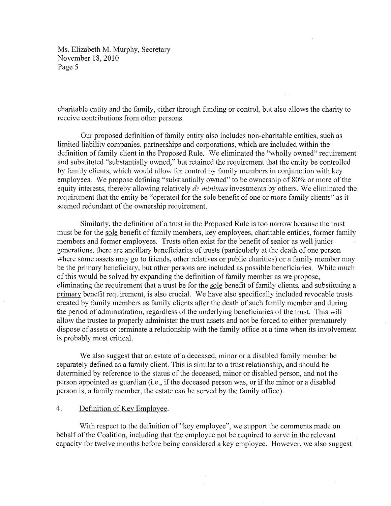charitable entity and the family, either through funding or control, but also allows the charity to receive contributions from other persons.

Our proposed deifnition of family entity also includes non-charitable entities, such as limited liability companies, partnerships and corporations, which are included within the definition of family client in the Proposed Rule. We eliminated the "wholly owned" requirement and substituted "substantially owned," but retained the requirement that the entity be controlled by family clients, which would allow for control by family members in conjunction with key ernployees. We propose defining "substantially owned" to be ownership of 80% or inore of the equity interests, thereby allowing relatively *de minimus* investments by others. We eliminated the requirement that the entity be "operated for the sole benefit of one or more family clients" as it seemed redundant of the ownership requirernent.

Similarly, the definition of a trust in the Proposed Rule is too narrow because the trust must be for the sole benefit of family members, key employees, charitable entities, former fannly members and former employees. Trusts often exist for the benefit of senior as well junior generations, there are ancillary beneficiaries of trusts (particularly at the death of one person where some assets may go to friends, other relatives or public charities) or a family member may be the primary beneficiary, but other persons are included as possible beneficiaries. While much of this would be solved by expanding the definition of family member as we propose, eliminating the requirement that a trust be for the sole benefit of family clients, and substituting a primary benefit requirement, is also crucial. We have also specifically included revocable trusts created by family members as family clients after the death of such family member and during the period of administration, regardless of the underlying beneficiaries of the trust. This will allow the trustee to properly administer the trust assets and not be forced to either prematurely dispose of assets or terminate a relationship with the family office at a time when its involvement is probably most critical.

We also suggest that an estate of a deceased, minor or a disabled family member be separately defined as a family client. This is similar to a trust relationship, and should be determined by reference to the status of the deceased, minor or disabled person, and not the person appointed as guardian (i.e., if the deceased person was, or if the minor or a disabled person is, a family member, the estate can be served by the family office).

# 4. Definition of Key Employee.

With respect to the definition of "key employee", we support the comments made on behalf of the Coalition, including that the employee not be required to serve in the relevant capacity for twelve months before being considered a key employee. However, we also suggest

 $\bar{z}$ 

 $\mathbb{R}^2$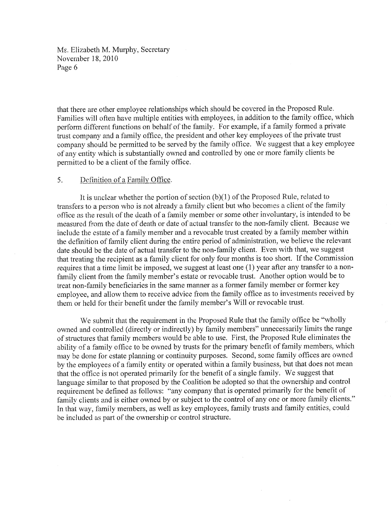that there are other employee relationships which should be covered in the Proposed Rule. Families will otfen have multiple entities with employees, in addition to the family office, which perform different functions on behalf of the family. For example, if a family formed a private trust company and a family office, the president and other key employees of the private trust company should be permitted to be served by the family office. We suggest that a key employee of any entity which is substantially owned and controlled by one or more family clients be permitted to be a client of the family office.

## 5. Definition of a Family Office.

It is unclear whether the portion of section (b)(1) of the Proposed Rule, related to transfers to a person who is not already a family client but who becomes a client of the family office as the result of the death of a family member or some other involuntary, is intended to be measured from the date of death or date of actual transfer to the non-family client. Because we include the estate of a family member and a revocable trust created by a family member within the definition of family client during the entire period of administration, we believe the relevant date should be the date of actual transfer to the non-family client. Even with that, we suggest that treating the recipient as a family client for only four months is too short. If the Commission requires that a time limit be imposed, we suggest at least one (1) year after any transfer to a nonfamily client from the family member's estate or revocable trust. Another option would be to treat non-family beneficiaries in the same manner as a former family member or former key employee, and allow them to receive advice from the family office as to investments received by them or held for their benefit under the family member's Will or revocable trust.

We submit that the requirement in the Proposed Rule that the family office be "wholly owned and controlled (directly or indirectly) by family members" unnecessarily limits the range of structures that family members would be able to use. First, the Proposed Rule eliminates the ability of a family office to be owned by trusts for the primary benefit of family members, which may be done for estate planning or continuity purposes. Second, some family offices are owned by the employees of a family entity or operated within a family business, but that does not mean that the office is not operated primarily for the benefit of a single family. We suggest that language similar to that proposed by the Coalition be adopted so that the ownership and control requirement be defined as follows: "any company that is operated primarily for the benefit of family clients and is either owned by or subject to the control of any one or more family clients." In that way, family members, as well as key employees, family trusts and family entities, could be included as part of the ownership or control structure.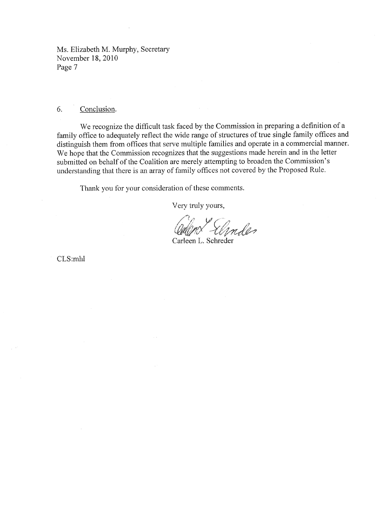#### 6. Conclusion.

We recognize the difficult task faced by the Commission in preparing a definition of a family office to adequately reflect the wide range of structures of true single family offices and distinguish them from ofifces that serve multiple families and operate in a commercial manner. We hope that the Commission recognizes that the suggestions made herein and in the letter submitted on behalf of the Coalition are merely attempting to broaden the Commission's understanding that there is an array of family offices not covered by the Proposed Rule.

Thank you for your consideration of these comments.

Very truly yours,

*y* 

Carleen L. Schreder

CLS:mhl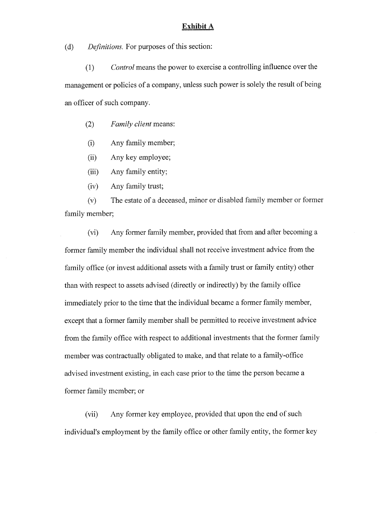#### **Exhibit A**

(d) *Deifnitions.* For purposes of this section:

(1) *Control* means the power to exercise a controlling influence over the management or policies of a company, unless such power is solely the result of being an officer of such company.

(2) *Family client* means:

(i) Any family member;

(ii) Any key employee;

(iii) Any family entity;

(iv) Any family trust;

(v) The estate of a deceased, minor or disabled family member or former family member;

(vi) Any former family member, provided that from and after becoming a former family member the individual shall not receive investment advice from the family office (or invest additional assets with a family trust or family entity) other than with respect to assets advised (directly or indirectly) by the family office immediately prior to the time that the individual became a former family member, except that a former family member shall be permitted to receive investment advice from the family office with respect to additional investments that the former family member was contractually obligated to make, and that relate to a family-office advised investment existing, in each case prior to the time the person became a former family member; or

(vii) Any former key employee, provided that upon the end of such individual's employment by the family office or other family entity, the former key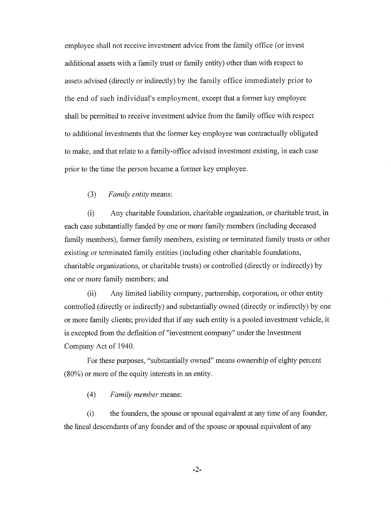employee shall not receive investment advice from the family office (or invest additional assets with a family trust or family entity) other than with respect to assets advised (directly or indirectly) by the family office immediately prior to the end of such individual's employment, except that a former key employee shall be permitted to receive investment advice from the family ofifce with respect to additional investments that the former key employee was contractually obligated to make, and that relate to a family-ofifce advised investment existing, in each case prior to the time the person became a former key employee.

(3 ) *Family entity* means:

(i) Any charitable foundation, charitable organization, or charitable trust, in each case substantially funded by one or more family members (including deceased family members), former family members, existing or terminated family trusts or other existing or terminated family entities (including other charitable foundations, charitable organizations, or charitable trusts) or controlled (directly or indirectly) by one or more family members; and

(ii) Any limited liability company, partnership, corporation, or other entity controlled (directly or indirectly) and substantially owned (directly or indirectly) by one or more family clients; provided that if any such entity is a pooled investment vehicle, it is excepted from the definition of "investment company" under the Investment Company Act of 1940.

For these purposes, "substantially owned" means ownership of eighty percent (80%) or more of the equity interests in an entity.

(4) *Family member* means:

(i) the founders, the spouse or spousal equivalent at any time of any founder, the lineal descendnats of any founder and of the spouse or spousal equivalent of any

-2-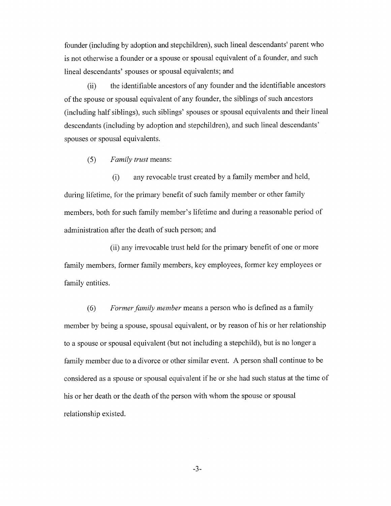founder (including by adoption and stepchildren), such lineal descendants' parent who is not otherwise a founder or a spouse or spousal equivalent of a founder, and such lineal descendants' spouses or spousal equivalents; and

(ii) the identifiable ancestors of any founder and the identifiable ancestors of the spouse or spousal equivalent of any founder, the siblings of such ancestors (including half siblings), such siblings' spouses or spousal equivalents and their lineal descendants (including by adoption and stepchildren), and such lineal descendants' spouses or spousal equivalents.

(5) *Family trust* means:

(i) any revocable trust created by a family member and held, during lifetime, for the primary benefit of such family member or other family members, both for such family member's lifetime and during a reasonable period of administration after the death of such person; and

(ii) any irrevocable trust held for the primary benefit of one or more family members, former family members, key employees, former key employees or family entities.

(6) *Former family member* means a person who is defined as a family member by being a spouse, spousal equivalent, or by reason of his or her relationship to a spouse or spousal equivalent (but not including a stepchild), but is no longer a family member due to a divorce or other similar event. A person shall continue to be considered as a spouse or spousal equivalent if he or she had such status at the time of his or her death or the death of the person with whom the spouse or spousal relationship existed.

-3-